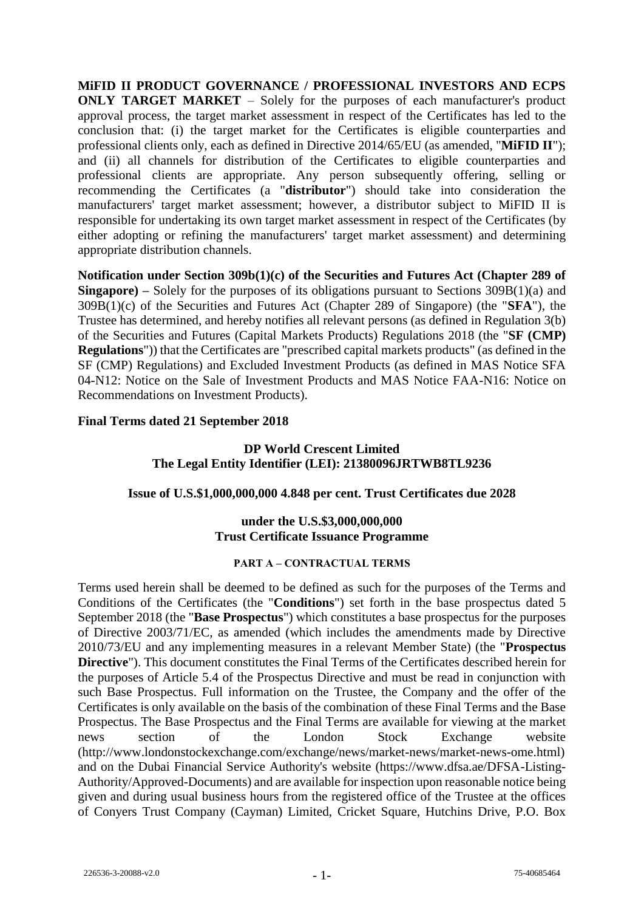**MiFID II PRODUCT GOVERNANCE / PROFESSIONAL INVESTORS AND ECPS ONLY TARGET MARKET** – Solely for the purposes of each manufacturer's product approval process, the target market assessment in respect of the Certificates has led to the conclusion that: (i) the target market for the Certificates is eligible counterparties and professional clients only, each as defined in Directive 2014/65/EU (as amended, "**MiFID II**"); and (ii) all channels for distribution of the Certificates to eligible counterparties and professional clients are appropriate. Any person subsequently offering, selling or recommending the Certificates (a "**distributor**") should take into consideration the manufacturers' target market assessment; however, a distributor subject to MiFID II is responsible for undertaking its own target market assessment in respect of the Certificates (by either adopting or refining the manufacturers' target market assessment) and determining appropriate distribution channels.

**Notification under Section 309b(1)(c) of the Securities and Futures Act (Chapter 289 of Singapore) –** Solely for the purposes of its obligations pursuant to Sections 309B(1)(a) and 309B(1)(c) of the Securities and Futures Act (Chapter 289 of Singapore) (the "**SFA**"), the Trustee has determined, and hereby notifies all relevant persons (as defined in Regulation 3(b) of the Securities and Futures (Capital Markets Products) Regulations 2018 (the "**SF (CMP) Regulations**")) that the Certificates are "prescribed capital markets products" (as defined in the SF (CMP) Regulations) and Excluded Investment Products (as defined in MAS Notice SFA 04-N12: Notice on the Sale of Investment Products and MAS Notice FAA-N16: Notice on Recommendations on Investment Products).

### **Final Terms dated 21 September 2018**

## **DP World Crescent Limited The Legal Entity Identifier (LEI): 21380096JRTWB8TL9236**

#### **Issue of U.S.\$1,000,000,000 4.848 per cent. Trust Certificates due 2028**

#### **under the U.S.\$3,000,000,000 Trust Certificate Issuance Programme**

#### **PART A – CONTRACTUAL TERMS**

Terms used herein shall be deemed to be defined as such for the purposes of the Terms and Conditions of the Certificates (the "**Conditions**") set forth in the base prospectus dated 5 September 2018 (the "**Base Prospectus**") which constitutes a base prospectus for the purposes of Directive 2003/71/EC, as amended (which includes the amendments made by Directive 2010/73/EU and any implementing measures in a relevant Member State) (the "**Prospectus Directive**"). This document constitutes the Final Terms of the Certificates described herein for the purposes of Article 5.4 of the Prospectus Directive and must be read in conjunction with such Base Prospectus. Full information on the Trustee, the Company and the offer of the Certificates is only available on the basis of the combination of these Final Terms and the Base Prospectus. The Base Prospectus and the Final Terms are available for viewing at the market news section of the London Stock Exchange website (http://www.londonstockexchange.com/exchange/news/market-news/market-news-ome.html) and on the Dubai Financial Service Authority's website (https://www.dfsa.ae/DFSA-Listing-Authority/Approved-Documents) and are available for inspection upon reasonable notice being given and during usual business hours from the registered office of the Trustee at the offices of Conyers Trust Company (Cayman) Limited, Cricket Square, Hutchins Drive, P.O. Box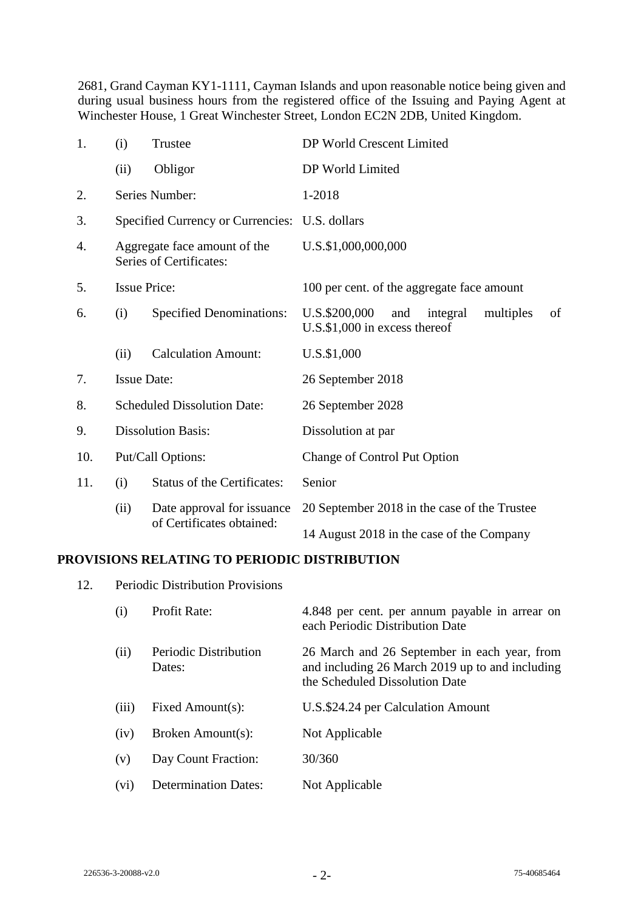2681, Grand Cayman KY1-1111, Cayman Islands and upon reasonable notice being given and during usual business hours from the registered office of the Issuing and Paying Agent at Winchester House, 1 Great Winchester Street, London EC2N 2DB, United Kingdom.

| 1.  | (i)                                                     | Trustee                                                 | DP World Crescent Limited                                                               |
|-----|---------------------------------------------------------|---------------------------------------------------------|-----------------------------------------------------------------------------------------|
|     | (ii)                                                    | Obligor                                                 | DP World Limited                                                                        |
| 2.  |                                                         | Series Number:                                          | 1-2018                                                                                  |
| 3.  |                                                         | Specified Currency or Currencies: U.S. dollars          |                                                                                         |
| 4.  | Aggregate face amount of the<br>Series of Certificates: |                                                         | U.S.\$1,000,000,000                                                                     |
| 5.  | <b>Issue Price:</b>                                     |                                                         | 100 per cent. of the aggregate face amount                                              |
| 6.  | (i)                                                     | <b>Specified Denominations:</b>                         | U.S.\$200,000<br>integral<br>multiples<br>of<br>and<br>$U.S.$ \$1,000 in excess thereof |
|     | (ii)                                                    | <b>Calculation Amount:</b>                              | U.S.\$1,000                                                                             |
| 7.  | <b>Issue Date:</b>                                      |                                                         | 26 September 2018                                                                       |
| 8.  | <b>Scheduled Dissolution Date:</b>                      |                                                         | 26 September 2028                                                                       |
| 9.  | <b>Dissolution Basis:</b>                               |                                                         | Dissolution at par                                                                      |
| 10. | Put/Call Options:                                       |                                                         | <b>Change of Control Put Option</b>                                                     |
| 11. | (i)                                                     | <b>Status of the Certificates:</b>                      | Senior                                                                                  |
|     | (ii)                                                    | Date approval for issuance<br>of Certificates obtained: | 20 September 2018 in the case of the Trustee                                            |
|     |                                                         |                                                         | 14 August 2018 in the case of the Company                                               |

## **PROVISIONS RELATING TO PERIODIC DISTRIBUTION**

12. Periodic Distribution Provisions

| (i)   | Profit Rate:                    | 4.848 per cent. per annum payable in arrear on<br>each Periodic Distribution Date                                                 |
|-------|---------------------------------|-----------------------------------------------------------------------------------------------------------------------------------|
| (ii)  | Periodic Distribution<br>Dates: | 26 March and 26 September in each year, from<br>and including 26 March 2019 up to and including<br>the Scheduled Dissolution Date |
| (iii) | Fixed Amount(s):                | U.S.\$24.24 per Calculation Amount                                                                                                |
| (iv)  | Broken Amount(s):               | Not Applicable                                                                                                                    |
| (v)   | Day Count Fraction:             | 30/360                                                                                                                            |
| (vi)  | <b>Determination Dates:</b>     | Not Applicable                                                                                                                    |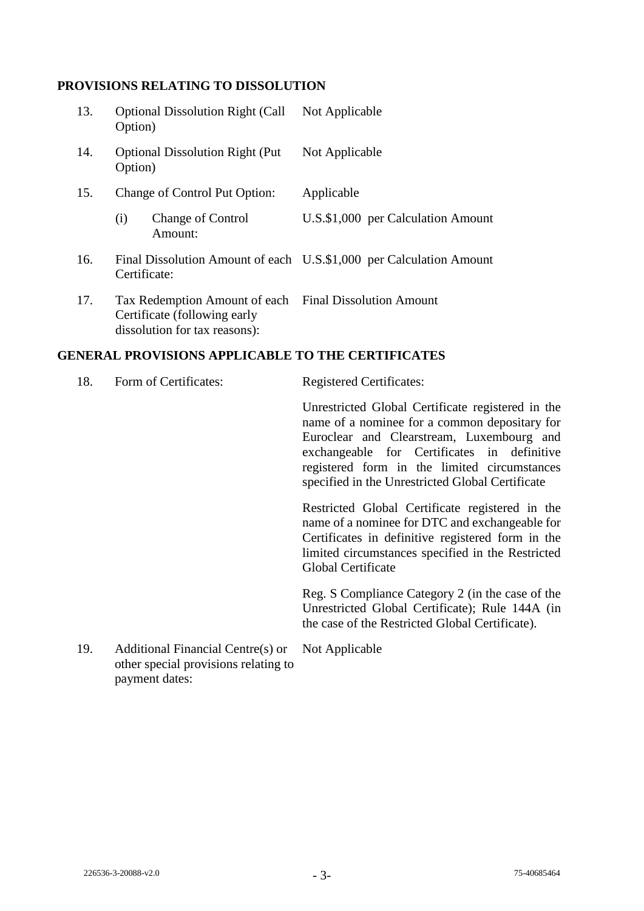# **PROVISIONS RELATING TO DISSOLUTION**

| 13. | Option)                                                                                                                 | <b>Optional Dissolution Right (Call</b> | Not Applicable                                                      |  |
|-----|-------------------------------------------------------------------------------------------------------------------------|-----------------------------------------|---------------------------------------------------------------------|--|
| 14. | Option)                                                                                                                 | <b>Optional Dissolution Right (Put)</b> | Not Applicable                                                      |  |
| 15. |                                                                                                                         | Change of Control Put Option:           | Applicable                                                          |  |
|     | (i)                                                                                                                     | <b>Change of Control</b><br>Amount:     | U.S.\$1,000 per Calculation Amount                                  |  |
| 16. | Certificate:                                                                                                            |                                         | Final Dissolution Amount of each U.S.\$1,000 per Calculation Amount |  |
| 17. | Tax Redemption Amount of each Final Dissolution Amount<br>Certificate (following early<br>dissolution for tax reasons): |                                         |                                                                     |  |

# **GENERAL PROVISIONS APPLICABLE TO THE CERTIFICATES**

| 18. | Form of Certificates:                                                                       | <b>Registered Certificates:</b>                                                                                                                                                                                                                                                                    |
|-----|---------------------------------------------------------------------------------------------|----------------------------------------------------------------------------------------------------------------------------------------------------------------------------------------------------------------------------------------------------------------------------------------------------|
|     |                                                                                             | Unrestricted Global Certificate registered in the<br>name of a nominee for a common depositary for<br>Euroclear and Clearstream, Luxembourg and<br>exchangeable for Certificates in definitive<br>registered form in the limited circumstances<br>specified in the Unrestricted Global Certificate |
|     |                                                                                             | Restricted Global Certificate registered in the<br>name of a nominee for DTC and exchangeable for<br>Certificates in definitive registered form in the<br>limited circumstances specified in the Restricted<br><b>Global Certificate</b>                                                           |
|     |                                                                                             | Reg. S Compliance Category 2 (in the case of the<br>Unrestricted Global Certificate); Rule 144A (in<br>the case of the Restricted Global Certificate).                                                                                                                                             |
| 19. | Additional Financial Centre(s) or<br>other special provisions relating to<br>payment dates: | Not Applicable                                                                                                                                                                                                                                                                                     |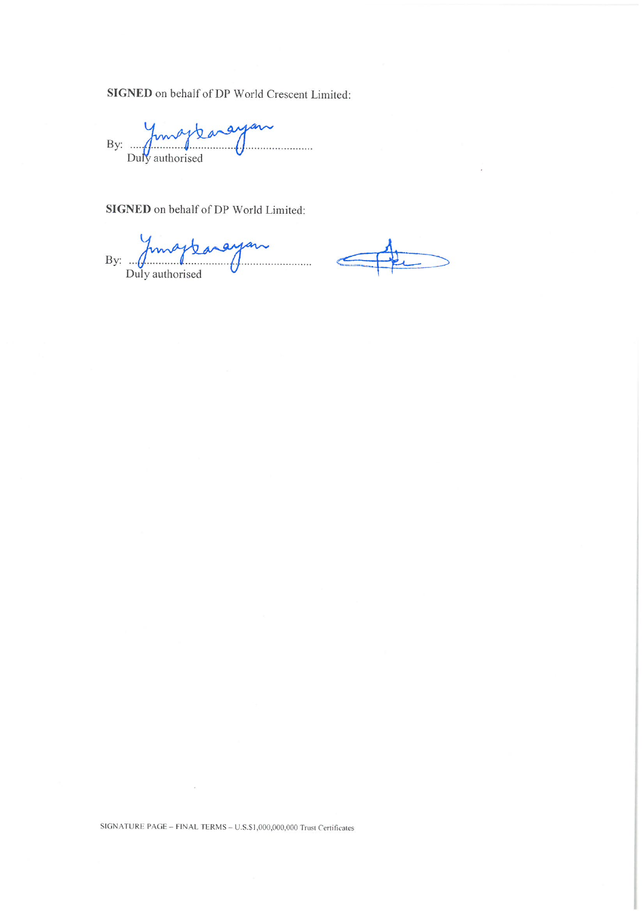SIGNED on behalf of DP World Crescent Limited:

By: fungylaneyer

SIGNED on behalf of DP World Limited:

By: funaplanayan

SIGNATURE PAGE - FINAL TERMS - U.S.\$1,000,000,000 Trust Certificates

 $\ddot{\phantom{a}}$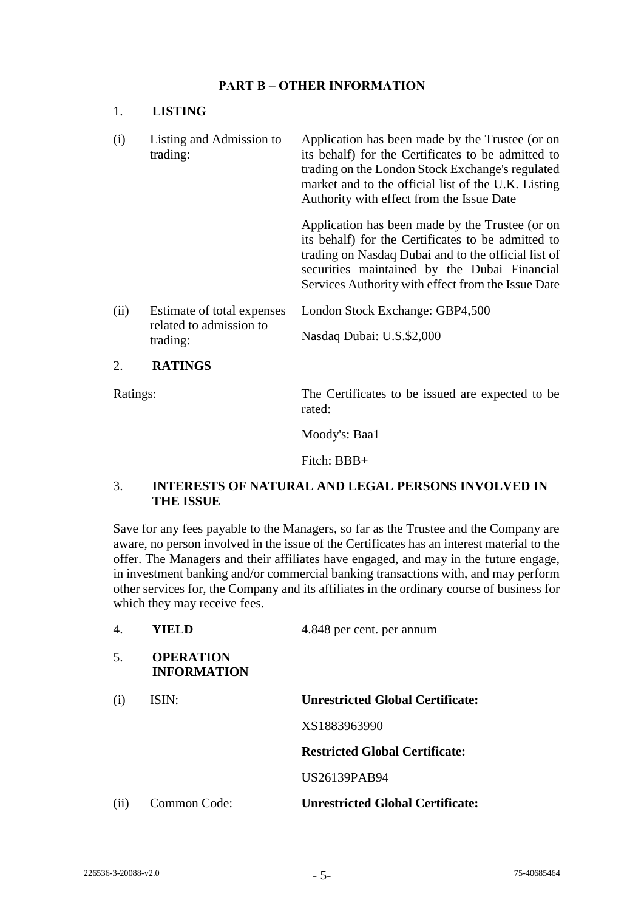## **PART B – OTHER INFORMATION**

### 1. **LISTING**

(i) Listing and Admission to trading: Application has been made by the Trustee (or on its behalf) for the Certificates to be admitted to trading on the London Stock Exchange's regulated market and to the official list of the U.K. Listing Authority with effect from the Issue Date

> Application has been made by the Trustee (or on its behalf) for the Certificates to be admitted to trading on Nasdaq Dubai and to the official list of securities maintained by the Dubai Financial Services Authority with effect from the Issue Date

(ii) Estimate of total expenses related to admission to trading: London Stock Exchange: GBP4,500 Nasdaq Dubai: U.S.\$2,000

#### 2. **RATINGS**

Ratings: The Certificates to be issued are expected to be rated:

Moody's: Baa1

Fitch: BBB+

## 3. **INTERESTS OF NATURAL AND LEGAL PERSONS INVOLVED IN THE ISSUE**

Save for any fees payable to the Managers, so far as the Trustee and the Company are aware, no person involved in the issue of the Certificates has an interest material to the offer. The Managers and their affiliates have engaged, and may in the future engage, in investment banking and/or commercial banking transactions with, and may perform other services for, the Company and its affiliates in the ordinary course of business for which they may receive fees.

| $\mathbf{4}$ . | YIELD                                  | 4.848 per cent. per annum               |
|----------------|----------------------------------------|-----------------------------------------|
| 5.             | <b>OPERATION</b><br><b>INFORMATION</b> |                                         |
| (i)            | ISIN:                                  | <b>Unrestricted Global Certificate:</b> |
|                |                                        | XS1883963990                            |
|                |                                        | <b>Restricted Global Certificate:</b>   |
|                |                                        | <b>US26139PAB94</b>                     |
| (ii)           | Common Code:                           | <b>Unrestricted Global Certificate:</b> |